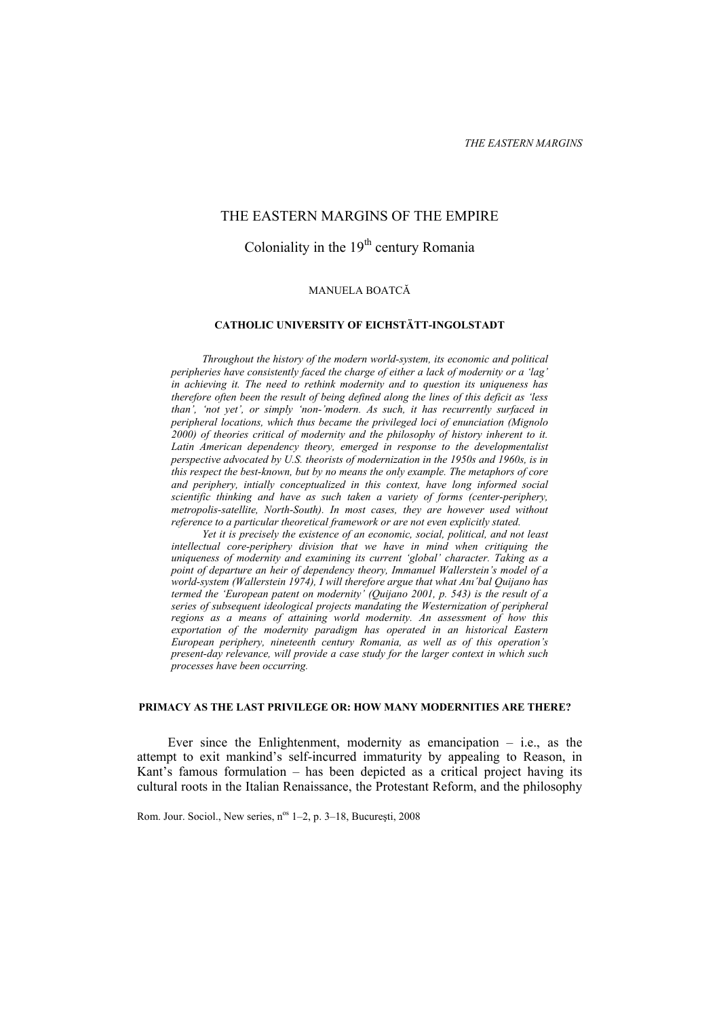# THE EASTERN MARGINS OF THE EMPIRE

# Coloniality in the  $19<sup>th</sup>$  century Romania

#### MANUELA BOATCĂ

### **CATHOLIC UNIVERSITY OF EICHSTÄTT-INGOLSTADT**

*Throughout the history of the modern world-system, its economic and political peripheries have consistently faced the charge of either a lack of modernity or a 'lag' in achieving it. The need to rethink modernity and to question its uniqueness has therefore often been the result of being defined along the lines of this deficit as 'less than', 'not yet', or simply 'non-'modern. As such, it has recurrently surfaced in peripheral locations, which thus became the privileged loci of enunciation (Mignolo 2000) of theories critical of modernity and the philosophy of history inherent to it.*  Latin American dependency theory, emerged in response to the developmentalist *perspective advocated by U.S. theorists of modernization in the 1950s and 1960s, is in this respect the best-known, but by no means the only example. The metaphors of core and periphery, intially conceptualized in this context, have long informed social*  scientific thinking and have as such taken a variety of forms (center-periphery, *metropolis-satellite, North-South). In most cases, they are however used without reference to a particular theoretical framework or are not even explicitly stated.* 

*Yet it is precisely the existence of an economic, social, political, and not least intellectual core-periphery division that we have in mind when critiquing the uniqueness of modernity and examining its current 'global' character. Taking as a point of departure an heir of dependency theory, Immanuel Wallerstein's model of a world-system (Wallerstein 1974), I will therefore argue that what Anı´bal Quijano has termed the 'European patent on modernity' (Quijano 2001, p. 543) is the result of a series of subsequent ideological projects mandating the Westernization of peripheral regions as a means of attaining world modernity. An assessment of how this exportation of the modernity paradigm has operated in an historical Eastern European periphery, nineteenth century Romania, as well as of this operation's present-day relevance, will provide a case study for the larger context in which such processes have been occurring.* 

## **PRIMACY AS THE LAST PRIVILEGE OR: HOW MANY MODERNITIES ARE THERE?**

Ever since the Enlightenment, modernity as emancipation  $-$  i.e., as the attempt to exit mankind's self-incurred immaturity by appealing to Reason, in Kant's famous formulation – has been depicted as a critical project having its cultural roots in the Italian Renaissance, the Protestant Reform, and the philosophy

Rom. Jour. Sociol., New series,  $n^{\circ s}$  1–2, p. 3–18, București, 2008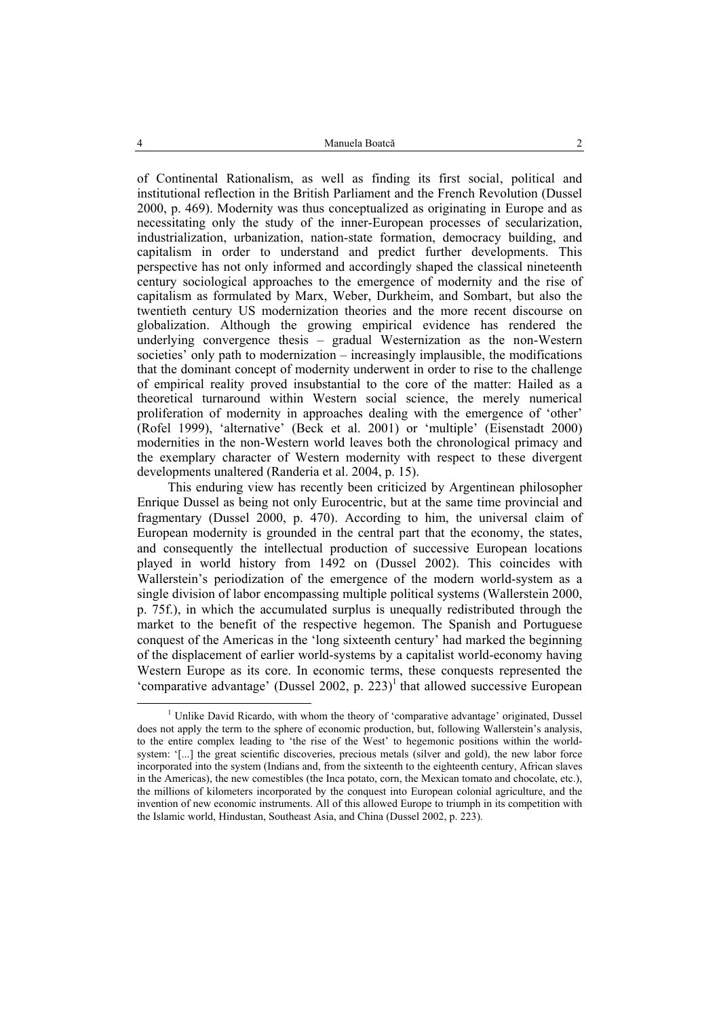of Continental Rationalism, as well as finding its first social, political and institutional reflection in the British Parliament and the French Revolution (Dussel 2000, p. 469). Modernity was thus conceptualized as originating in Europe and as necessitating only the study of the inner-European processes of secularization, industrialization, urbanization, nation-state formation, democracy building, and capitalism in order to understand and predict further developments. This perspective has not only informed and accordingly shaped the classical nineteenth century sociological approaches to the emergence of modernity and the rise of capitalism as formulated by Marx, Weber, Durkheim, and Sombart, but also the twentieth century US modernization theories and the more recent discourse on globalization. Although the growing empirical evidence has rendered the underlying convergence thesis – gradual Westernization as the non-Western societies' only path to modernization – increasingly implausible, the modifications that the dominant concept of modernity underwent in order to rise to the challenge of empirical reality proved insubstantial to the core of the matter: Hailed as a theoretical turnaround within Western social science, the merely numerical proliferation of modernity in approaches dealing with the emergence of 'other' (Rofel 1999), 'alternative' (Beck et al. 2001) or 'multiple' (Eisenstadt 2000) modernities in the non-Western world leaves both the chronological primacy and the exemplary character of Western modernity with respect to these divergent developments unaltered (Randeria et al. 2004, p. 15).

This enduring view has recently been criticized by Argentinean philosopher Enrique Dussel as being not only Eurocentric, but at the same time provincial and fragmentary (Dussel 2000, p. 470). According to him, the universal claim of European modernity is grounded in the central part that the economy, the states, and consequently the intellectual production of successive European locations played in world history from 1492 on (Dussel 2002). This coincides with Wallerstein's periodization of the emergence of the modern world-system as a single division of labor encompassing multiple political systems (Wallerstein 2000, p. 75f.), in which the accumulated surplus is unequally redistributed through the market to the benefit of the respective hegemon. The Spanish and Portuguese conquest of the Americas in the 'long sixteenth century' had marked the beginning of the displacement of earlier world-systems by a capitalist world-economy having Western Europe as its core. In economic terms, these conquests represented the 'comparative advantage' (Dussel 2002, p. 223)<sup>1</sup> that allowed successive European

 $\frac{1}{1}$ <sup>1</sup> Unlike David Ricardo, with whom the theory of 'comparative advantage' originated, Dussel does not apply the term to the sphere of economic production, but, following Wallerstein's analysis, to the entire complex leading to 'the rise of the West' to hegemonic positions within the worldsystem: '[...] the great scientific discoveries, precious metals (silver and gold), the new labor force incorporated into the system (Indians and, from the sixteenth to the eighteenth century, African slaves in the Americas), the new comestibles (the Inca potato, corn, the Mexican tomato and chocolate, etc.), the millions of kilometers incorporated by the conquest into European colonial agriculture, and the invention of new economic instruments. All of this allowed Europe to triumph in its competition with the Islamic world, Hindustan, Southeast Asia, and China (Dussel 2002, p. 223).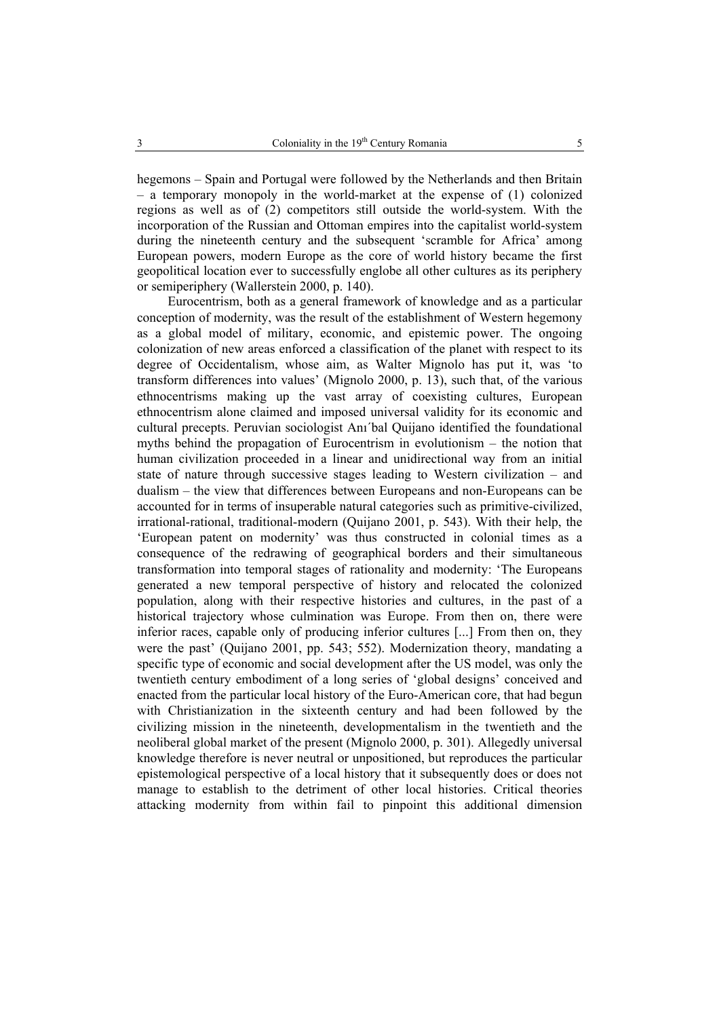hegemons – Spain and Portugal were followed by the Netherlands and then Britain – a temporary monopoly in the world-market at the expense of (1) colonized regions as well as of (2) competitors still outside the world-system. With the incorporation of the Russian and Ottoman empires into the capitalist world-system during the nineteenth century and the subsequent 'scramble for Africa' among European powers, modern Europe as the core of world history became the first geopolitical location ever to successfully englobe all other cultures as its periphery or semiperiphery (Wallerstein 2000, p. 140).

Eurocentrism, both as a general framework of knowledge and as a particular conception of modernity, was the result of the establishment of Western hegemony as a global model of military, economic, and epistemic power. The ongoing colonization of new areas enforced a classification of the planet with respect to its degree of Occidentalism, whose aim, as Walter Mignolo has put it, was 'to transform differences into values' (Mignolo 2000, p. 13), such that, of the various ethnocentrisms making up the vast array of coexisting cultures, European ethnocentrism alone claimed and imposed universal validity for its economic and cultural precepts. Peruvian sociologist Anı´bal Quijano identified the foundational myths behind the propagation of Eurocentrism in evolutionism – the notion that human civilization proceeded in a linear and unidirectional way from an initial state of nature through successive stages leading to Western civilization – and dualism – the view that differences between Europeans and non-Europeans can be accounted for in terms of insuperable natural categories such as primitive-civilized, irrational-rational, traditional-modern (Quijano 2001, p. 543). With their help, the 'European patent on modernity' was thus constructed in colonial times as a consequence of the redrawing of geographical borders and their simultaneous transformation into temporal stages of rationality and modernity: 'The Europeans generated a new temporal perspective of history and relocated the colonized population, along with their respective histories and cultures, in the past of a historical trajectory whose culmination was Europe. From then on, there were inferior races, capable only of producing inferior cultures [...] From then on, they were the past' (Quijano 2001, pp. 543; 552). Modernization theory, mandating a specific type of economic and social development after the US model, was only the twentieth century embodiment of a long series of 'global designs' conceived and enacted from the particular local history of the Euro-American core, that had begun with Christianization in the sixteenth century and had been followed by the civilizing mission in the nineteenth, developmentalism in the twentieth and the neoliberal global market of the present (Mignolo 2000, p. 301). Allegedly universal knowledge therefore is never neutral or unpositioned, but reproduces the particular epistemological perspective of a local history that it subsequently does or does not manage to establish to the detriment of other local histories. Critical theories attacking modernity from within fail to pinpoint this additional dimension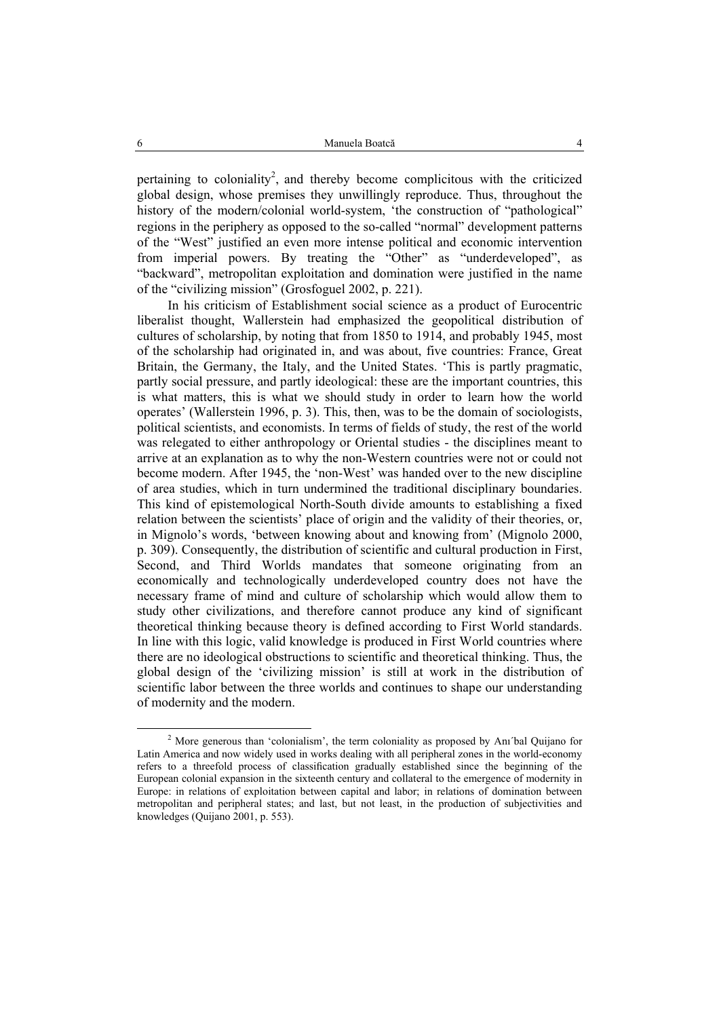pertaining to coloniality<sup>2</sup>, and thereby become complicitous with the criticized global design, whose premises they unwillingly reproduce. Thus, throughout the history of the modern/colonial world-system, 'the construction of "pathological" regions in the periphery as opposed to the so-called "normal" development patterns of the "West" justified an even more intense political and economic intervention from imperial powers. By treating the "Other" as "underdeveloped", as "backward", metropolitan exploitation and domination were justified in the name of the "civilizing mission" (Grosfoguel 2002, p. 221).

In his criticism of Establishment social science as a product of Eurocentric liberalist thought, Wallerstein had emphasized the geopolitical distribution of cultures of scholarship, by noting that from 1850 to 1914, and probably 1945, most of the scholarship had originated in, and was about, five countries: France, Great Britain, the Germany, the Italy, and the United States. 'This is partly pragmatic, partly social pressure, and partly ideological: these are the important countries, this is what matters, this is what we should study in order to learn how the world operates' (Wallerstein 1996, p. 3). This, then, was to be the domain of sociologists, political scientists, and economists. In terms of fields of study, the rest of the world was relegated to either anthropology or Oriental studies - the disciplines meant to arrive at an explanation as to why the non-Western countries were not or could not become modern. After 1945, the 'non-West' was handed over to the new discipline of area studies, which in turn undermined the traditional disciplinary boundaries. This kind of epistemological North-South divide amounts to establishing a fixed relation between the scientists' place of origin and the validity of their theories, or, in Mignolo's words, 'between knowing about and knowing from' (Mignolo 2000, p. 309). Consequently, the distribution of scientific and cultural production in First, Second, and Third Worlds mandates that someone originating from an economically and technologically underdeveloped country does not have the necessary frame of mind and culture of scholarship which would allow them to study other civilizations, and therefore cannot produce any kind of significant theoretical thinking because theory is defined according to First World standards. In line with this logic, valid knowledge is produced in First World countries where there are no ideological obstructions to scientific and theoretical thinking. Thus, the global design of the 'civilizing mission' is still at work in the distribution of scientific labor between the three worlds and continues to shape our understanding of modernity and the modern.

 <sup>2</sup> More generous than 'colonialism', the term coloniality as proposed by Anı´bal Quijano for Latin America and now widely used in works dealing with all peripheral zones in the world-economy refers to a threefold process of classification gradually established since the beginning of the European colonial expansion in the sixteenth century and collateral to the emergence of modernity in Europe: in relations of exploitation between capital and labor; in relations of domination between metropolitan and peripheral states; and last, but not least, in the production of subjectivities and knowledges (Quijano 2001, p. 553).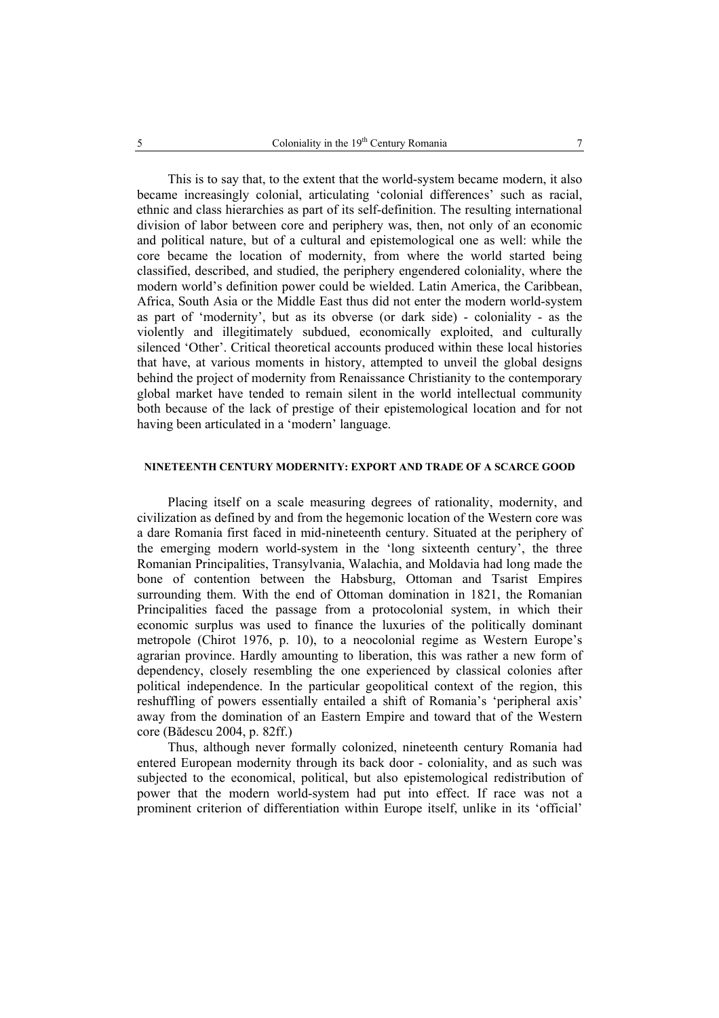This is to say that, to the extent that the world-system became modern, it also became increasingly colonial, articulating 'colonial differences' such as racial, ethnic and class hierarchies as part of its self-definition. The resulting international division of labor between core and periphery was, then, not only of an economic and political nature, but of a cultural and epistemological one as well: while the core became the location of modernity, from where the world started being classified, described, and studied, the periphery engendered coloniality, where the modern world's definition power could be wielded. Latin America, the Caribbean, Africa, South Asia or the Middle East thus did not enter the modern world-system as part of 'modernity', but as its obverse (or dark side) - coloniality - as the violently and illegitimately subdued, economically exploited, and culturally silenced 'Other'. Critical theoretical accounts produced within these local histories that have, at various moments in history, attempted to unveil the global designs behind the project of modernity from Renaissance Christianity to the contemporary global market have tended to remain silent in the world intellectual community both because of the lack of prestige of their epistemological location and for not having been articulated in a 'modern' language.

# **NINETEENTH CENTURY MODERNITY: EXPORT AND TRADE OF A SCARCE GOOD**

Placing itself on a scale measuring degrees of rationality, modernity, and civilization as defined by and from the hegemonic location of the Western core was a dare Romania first faced in mid-nineteenth century. Situated at the periphery of the emerging modern world-system in the 'long sixteenth century', the three Romanian Principalities, Transylvania, Walachia, and Moldavia had long made the bone of contention between the Habsburg, Ottoman and Tsarist Empires surrounding them. With the end of Ottoman domination in 1821, the Romanian Principalities faced the passage from a protocolonial system, in which their economic surplus was used to finance the luxuries of the politically dominant metropole (Chirot 1976, p. 10), to a neocolonial regime as Western Europe's agrarian province. Hardly amounting to liberation, this was rather a new form of dependency, closely resembling the one experienced by classical colonies after political independence. In the particular geopolitical context of the region, this reshuffling of powers essentially entailed a shift of Romania's 'peripheral axis' away from the domination of an Eastern Empire and toward that of the Western core (Bădescu 2004, p. 82ff.)

Thus, although never formally colonized, nineteenth century Romania had entered European modernity through its back door - coloniality, and as such was subjected to the economical, political, but also epistemological redistribution of power that the modern world-system had put into effect. If race was not a prominent criterion of differentiation within Europe itself, unlike in its 'official'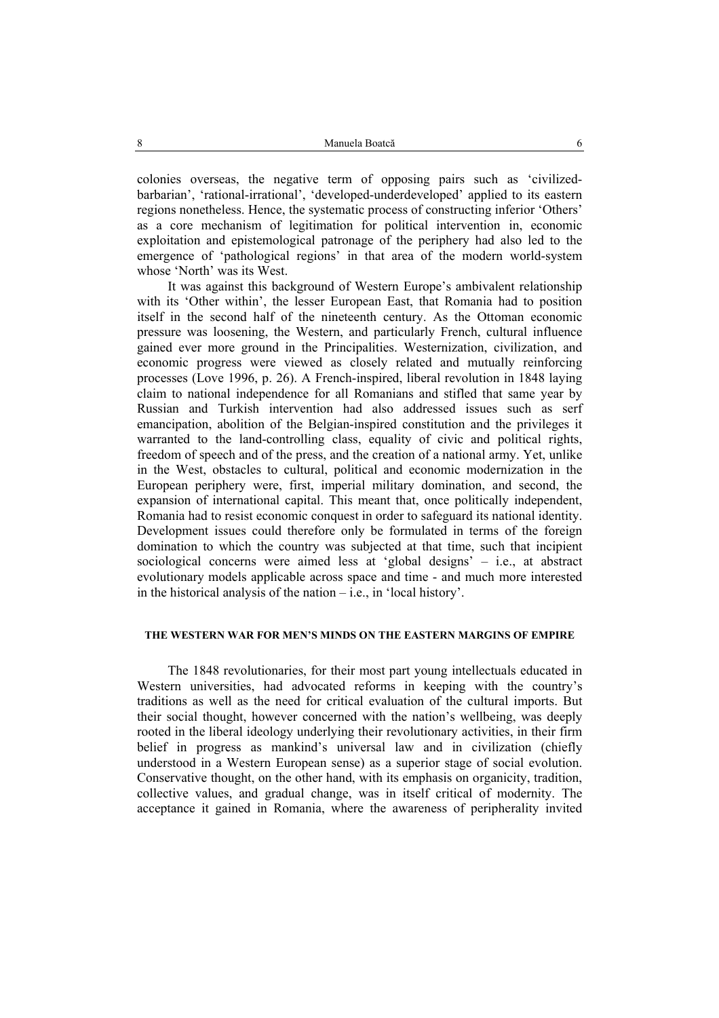colonies overseas, the negative term of opposing pairs such as 'civilizedbarbarian', 'rational-irrational', 'developed-underdeveloped' applied to its eastern regions nonetheless. Hence, the systematic process of constructing inferior 'Others' as a core mechanism of legitimation for political intervention in, economic exploitation and epistemological patronage of the periphery had also led to the emergence of 'pathological regions' in that area of the modern world-system whose 'North' was its West.

It was against this background of Western Europe's ambivalent relationship with its 'Other within', the lesser European East, that Romania had to position itself in the second half of the nineteenth century. As the Ottoman economic pressure was loosening, the Western, and particularly French, cultural influence gained ever more ground in the Principalities. Westernization, civilization, and economic progress were viewed as closely related and mutually reinforcing processes (Love 1996, p. 26). A French-inspired, liberal revolution in 1848 laying claim to national independence for all Romanians and stifled that same year by Russian and Turkish intervention had also addressed issues such as serf emancipation, abolition of the Belgian-inspired constitution and the privileges it warranted to the land-controlling class, equality of civic and political rights, freedom of speech and of the press, and the creation of a national army. Yet, unlike in the West, obstacles to cultural, political and economic modernization in the European periphery were, first, imperial military domination, and second, the expansion of international capital. This meant that, once politically independent, Romania had to resist economic conquest in order to safeguard its national identity. Development issues could therefore only be formulated in terms of the foreign domination to which the country was subjected at that time, such that incipient sociological concerns were aimed less at 'global designs' – i.e., at abstract evolutionary models applicable across space and time - and much more interested in the historical analysis of the nation – i.e., in 'local history'.

## **THE WESTERN WAR FOR MEN'S MINDS ON THE EASTERN MARGINS OF EMPIRE**

The 1848 revolutionaries, for their most part young intellectuals educated in Western universities, had advocated reforms in keeping with the country's traditions as well as the need for critical evaluation of the cultural imports. But their social thought, however concerned with the nation's wellbeing, was deeply rooted in the liberal ideology underlying their revolutionary activities, in their firm belief in progress as mankind's universal law and in civilization (chiefly understood in a Western European sense) as a superior stage of social evolution. Conservative thought, on the other hand, with its emphasis on organicity, tradition, collective values, and gradual change, was in itself critical of modernity. The acceptance it gained in Romania, where the awareness of peripherality invited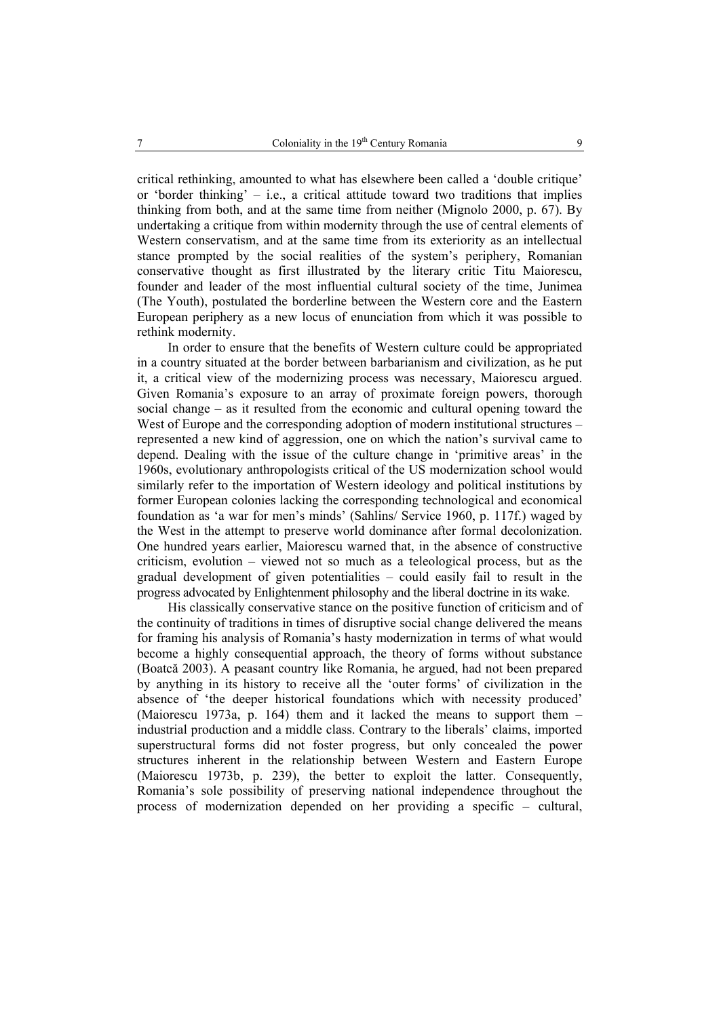critical rethinking, amounted to what has elsewhere been called a 'double critique' or 'border thinking'  $-$  i.e., a critical attitude toward two traditions that implies thinking from both, and at the same time from neither (Mignolo 2000, p. 67). By undertaking a critique from within modernity through the use of central elements of Western conservatism, and at the same time from its exteriority as an intellectual stance prompted by the social realities of the system's periphery, Romanian conservative thought as first illustrated by the literary critic Titu Maiorescu, founder and leader of the most influential cultural society of the time, Junimea (The Youth), postulated the borderline between the Western core and the Eastern European periphery as a new locus of enunciation from which it was possible to rethink modernity.

In order to ensure that the benefits of Western culture could be appropriated in a country situated at the border between barbarianism and civilization, as he put it, a critical view of the modernizing process was necessary, Maiorescu argued. Given Romania's exposure to an array of proximate foreign powers, thorough social change – as it resulted from the economic and cultural opening toward the West of Europe and the corresponding adoption of modern institutional structures – represented a new kind of aggression, one on which the nation's survival came to depend. Dealing with the issue of the culture change in 'primitive areas' in the 1960s, evolutionary anthropologists critical of the US modernization school would similarly refer to the importation of Western ideology and political institutions by former European colonies lacking the corresponding technological and economical foundation as 'a war for men's minds' (Sahlins/ Service 1960, p. 117f.) waged by the West in the attempt to preserve world dominance after formal decolonization. One hundred years earlier, Maiorescu warned that, in the absence of constructive criticism, evolution – viewed not so much as a teleological process, but as the gradual development of given potentialities – could easily fail to result in the progress advocated by Enlightenment philosophy and the liberal doctrine in its wake.

His classically conservative stance on the positive function of criticism and of the continuity of traditions in times of disruptive social change delivered the means for framing his analysis of Romania's hasty modernization in terms of what would become a highly consequential approach, the theory of forms without substance (Boatcă 2003). A peasant country like Romania, he argued, had not been prepared by anything in its history to receive all the 'outer forms' of civilization in the absence of 'the deeper historical foundations which with necessity produced' (Maiorescu 1973a, p. 164) them and it lacked the means to support them – industrial production and a middle class. Contrary to the liberals' claims, imported superstructural forms did not foster progress, but only concealed the power structures inherent in the relationship between Western and Eastern Europe (Maiorescu 1973b, p. 239), the better to exploit the latter. Consequently, Romania's sole possibility of preserving national independence throughout the process of modernization depended on her providing a specific – cultural,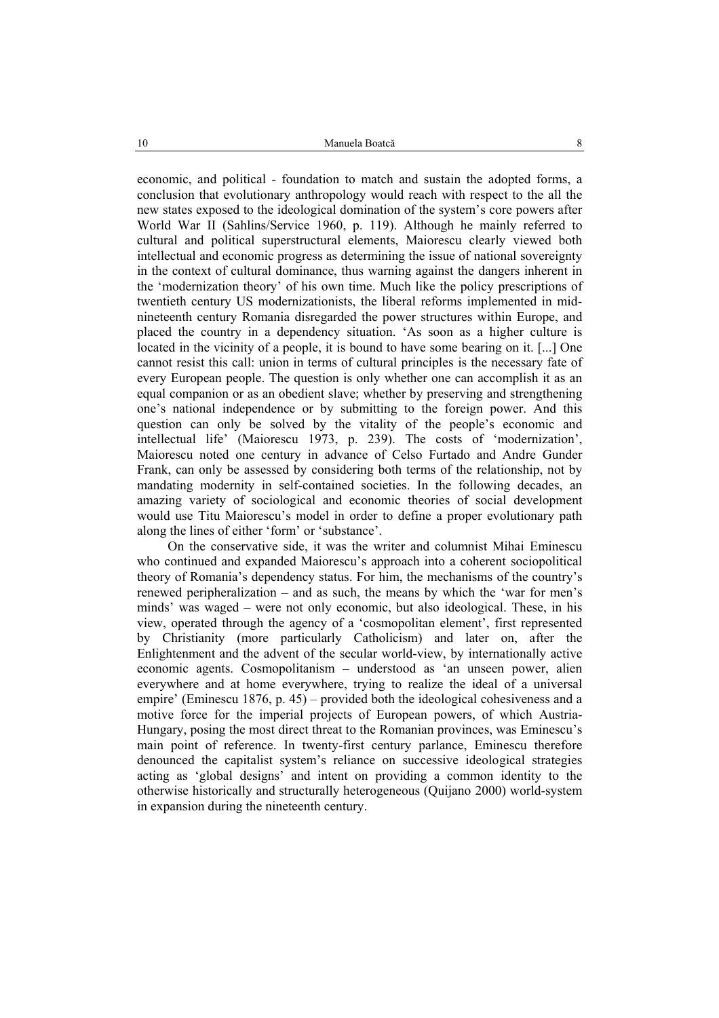economic, and political - foundation to match and sustain the adopted forms, a conclusion that evolutionary anthropology would reach with respect to the all the new states exposed to the ideological domination of the system's core powers after World War II (Sahlins/Service 1960, p. 119). Although he mainly referred to cultural and political superstructural elements, Maiorescu clearly viewed both intellectual and economic progress as determining the issue of national sovereignty in the context of cultural dominance, thus warning against the dangers inherent in the 'modernization theory' of his own time. Much like the policy prescriptions of twentieth century US modernizationists, the liberal reforms implemented in midnineteenth century Romania disregarded the power structures within Europe, and placed the country in a dependency situation. 'As soon as a higher culture is located in the vicinity of a people, it is bound to have some bearing on it. [...] One cannot resist this call: union in terms of cultural principles is the necessary fate of every European people. The question is only whether one can accomplish it as an equal companion or as an obedient slave; whether by preserving and strengthening one's national independence or by submitting to the foreign power. And this question can only be solved by the vitality of the people's economic and intellectual life' (Maiorescu 1973, p. 239). The costs of 'modernization', Maiorescu noted one century in advance of Celso Furtado and Andre Gunder Frank, can only be assessed by considering both terms of the relationship, not by mandating modernity in self-contained societies. In the following decades, an amazing variety of sociological and economic theories of social development would use Titu Maiorescu's model in order to define a proper evolutionary path along the lines of either 'form' or 'substance'.

On the conservative side, it was the writer and columnist Mihai Eminescu who continued and expanded Maiorescu's approach into a coherent sociopolitical theory of Romania's dependency status. For him, the mechanisms of the country's renewed peripheralization – and as such, the means by which the 'war for men's minds' was waged – were not only economic, but also ideological. These, in his view, operated through the agency of a 'cosmopolitan element', first represented by Christianity (more particularly Catholicism) and later on, after the Enlightenment and the advent of the secular world-view, by internationally active economic agents. Cosmopolitanism – understood as 'an unseen power, alien everywhere and at home everywhere, trying to realize the ideal of a universal empire' (Eminescu 1876, p. 45) – provided both the ideological cohesiveness and a motive force for the imperial projects of European powers, of which Austria-Hungary, posing the most direct threat to the Romanian provinces, was Eminescu's main point of reference. In twenty-first century parlance, Eminescu therefore denounced the capitalist system's reliance on successive ideological strategies acting as 'global designs' and intent on providing a common identity to the otherwise historically and structurally heterogeneous (Quijano 2000) world-system in expansion during the nineteenth century.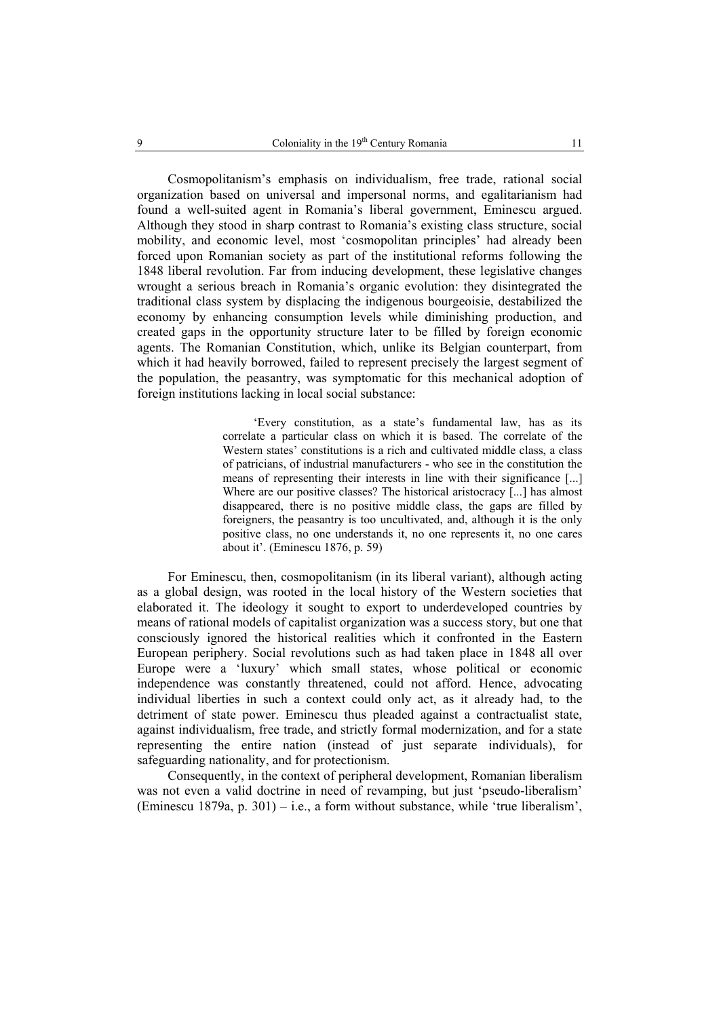Cosmopolitanism's emphasis on individualism, free trade, rational social organization based on universal and impersonal norms, and egalitarianism had found a well-suited agent in Romania's liberal government, Eminescu argued. Although they stood in sharp contrast to Romania's existing class structure, social mobility, and economic level, most 'cosmopolitan principles' had already been forced upon Romanian society as part of the institutional reforms following the 1848 liberal revolution. Far from inducing development, these legislative changes wrought a serious breach in Romania's organic evolution: they disintegrated the traditional class system by displacing the indigenous bourgeoisie, destabilized the economy by enhancing consumption levels while diminishing production, and created gaps in the opportunity structure later to be filled by foreign economic agents. The Romanian Constitution, which, unlike its Belgian counterpart, from which it had heavily borrowed, failed to represent precisely the largest segment of the population, the peasantry, was symptomatic for this mechanical adoption of foreign institutions lacking in local social substance:

> 'Every constitution, as a state's fundamental law, has as its correlate a particular class on which it is based. The correlate of the Western states' constitutions is a rich and cultivated middle class, a class of patricians, of industrial manufacturers - who see in the constitution the means of representing their interests in line with their significance [...] Where are our positive classes? The historical aristocracy [...] has almost disappeared, there is no positive middle class, the gaps are filled by foreigners, the peasantry is too uncultivated, and, although it is the only positive class, no one understands it, no one represents it, no one cares about it'. (Eminescu 1876, p. 59)

For Eminescu, then, cosmopolitanism (in its liberal variant), although acting as a global design, was rooted in the local history of the Western societies that elaborated it. The ideology it sought to export to underdeveloped countries by means of rational models of capitalist organization was a success story, but one that consciously ignored the historical realities which it confronted in the Eastern European periphery. Social revolutions such as had taken place in 1848 all over Europe were a 'luxury' which small states, whose political or economic independence was constantly threatened, could not afford. Hence, advocating individual liberties in such a context could only act, as it already had, to the detriment of state power. Eminescu thus pleaded against a contractualist state, against individualism, free trade, and strictly formal modernization, and for a state representing the entire nation (instead of just separate individuals), for safeguarding nationality, and for protectionism.

Consequently, in the context of peripheral development, Romanian liberalism was not even a valid doctrine in need of revamping, but just 'pseudo-liberalism' (Eminescu 1879a, p. 301) – i.e., a form without substance, while 'true liberalism',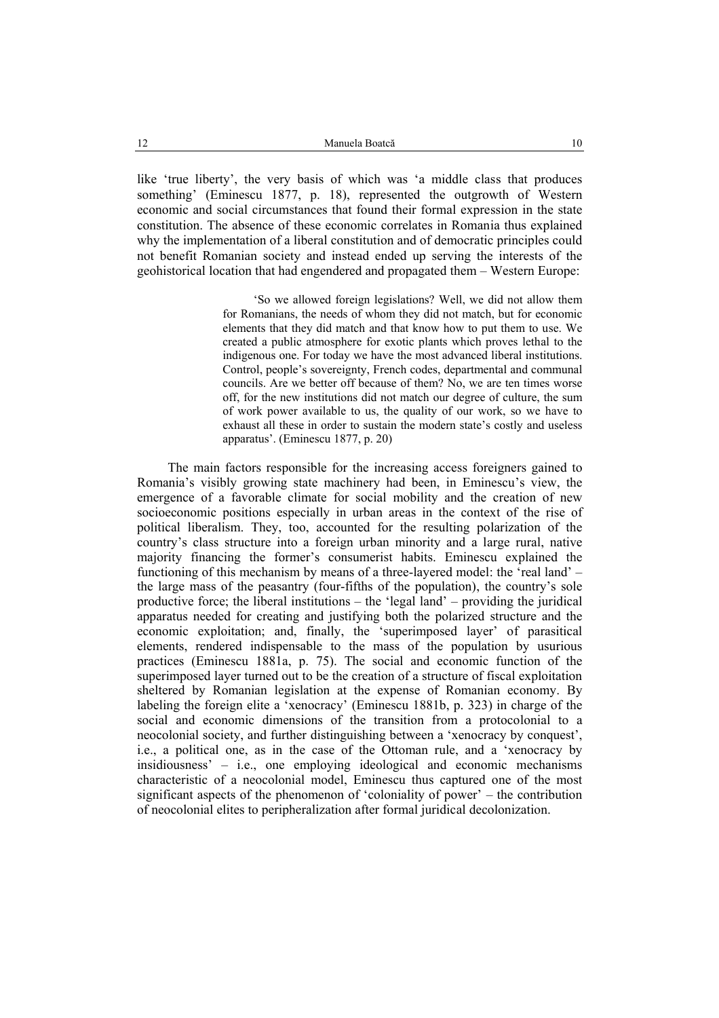like 'true liberty', the very basis of which was 'a middle class that produces something' (Eminescu 1877, p. 18), represented the outgrowth of Western economic and social circumstances that found their formal expression in the state constitution. The absence of these economic correlates in Romania thus explained why the implementation of a liberal constitution and of democratic principles could not benefit Romanian society and instead ended up serving the interests of the geohistorical location that had engendered and propagated them – Western Europe:

> 'So we allowed foreign legislations? Well, we did not allow them for Romanians, the needs of whom they did not match, but for economic elements that they did match and that know how to put them to use. We created a public atmosphere for exotic plants which proves lethal to the indigenous one. For today we have the most advanced liberal institutions. Control, people's sovereignty, French codes, departmental and communal councils. Are we better off because of them? No, we are ten times worse off, for the new institutions did not match our degree of culture, the sum of work power available to us, the quality of our work, so we have to exhaust all these in order to sustain the modern state's costly and useless apparatus'. (Eminescu 1877, p. 20)

The main factors responsible for the increasing access foreigners gained to Romania's visibly growing state machinery had been, in Eminescu's view, the emergence of a favorable climate for social mobility and the creation of new socioeconomic positions especially in urban areas in the context of the rise of political liberalism. They, too, accounted for the resulting polarization of the country's class structure into a foreign urban minority and a large rural, native majority financing the former's consumerist habits. Eminescu explained the functioning of this mechanism by means of a three-layered model: the 'real land' – the large mass of the peasantry (four-fifths of the population), the country's sole productive force; the liberal institutions – the 'legal land' – providing the juridical apparatus needed for creating and justifying both the polarized structure and the economic exploitation; and, finally, the 'superimposed layer' of parasitical elements, rendered indispensable to the mass of the population by usurious practices (Eminescu 1881a, p. 75). The social and economic function of the superimposed layer turned out to be the creation of a structure of fiscal exploitation sheltered by Romanian legislation at the expense of Romanian economy. By labeling the foreign elite a 'xenocracy' (Eminescu 1881b, p. 323) in charge of the social and economic dimensions of the transition from a protocolonial to a neocolonial society, and further distinguishing between a 'xenocracy by conquest', i.e., a political one, as in the case of the Ottoman rule, and a 'xenocracy by insidiousness' – i.e., one employing ideological and economic mechanisms characteristic of a neocolonial model, Eminescu thus captured one of the most significant aspects of the phenomenon of 'coloniality of power' – the contribution of neocolonial elites to peripheralization after formal juridical decolonization.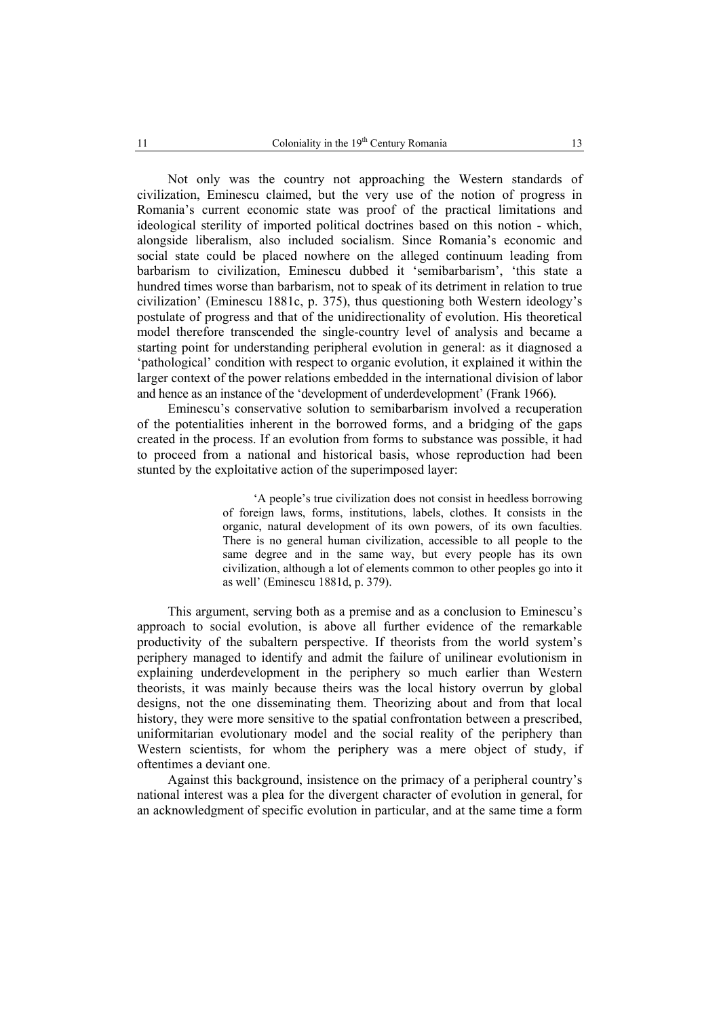Not only was the country not approaching the Western standards of civilization, Eminescu claimed, but the very use of the notion of progress in Romania's current economic state was proof of the practical limitations and ideological sterility of imported political doctrines based on this notion - which, alongside liberalism, also included socialism. Since Romania's economic and social state could be placed nowhere on the alleged continuum leading from barbarism to civilization, Eminescu dubbed it 'semibarbarism', 'this state a hundred times worse than barbarism, not to speak of its detriment in relation to true civilization' (Eminescu 1881c, p. 375), thus questioning both Western ideology's postulate of progress and that of the unidirectionality of evolution. His theoretical model therefore transcended the single-country level of analysis and became a starting point for understanding peripheral evolution in general: as it diagnosed a 'pathological' condition with respect to organic evolution, it explained it within the larger context of the power relations embedded in the international division of labor and hence as an instance of the 'development of underdevelopment' (Frank 1966).

Eminescu's conservative solution to semibarbarism involved a recuperation of the potentialities inherent in the borrowed forms, and a bridging of the gaps created in the process. If an evolution from forms to substance was possible, it had to proceed from a national and historical basis, whose reproduction had been stunted by the exploitative action of the superimposed layer:

> 'A people's true civilization does not consist in heedless borrowing of foreign laws, forms, institutions, labels, clothes. It consists in the organic, natural development of its own powers, of its own faculties. There is no general human civilization, accessible to all people to the same degree and in the same way, but every people has its own civilization, although a lot of elements common to other peoples go into it as well' (Eminescu 1881d, p. 379).

This argument, serving both as a premise and as a conclusion to Eminescu's approach to social evolution, is above all further evidence of the remarkable productivity of the subaltern perspective. If theorists from the world system's periphery managed to identify and admit the failure of unilinear evolutionism in explaining underdevelopment in the periphery so much earlier than Western theorists, it was mainly because theirs was the local history overrun by global designs, not the one disseminating them. Theorizing about and from that local history, they were more sensitive to the spatial confrontation between a prescribed, uniformitarian evolutionary model and the social reality of the periphery than Western scientists, for whom the periphery was a mere object of study, if oftentimes a deviant one.

Against this background, insistence on the primacy of a peripheral country's national interest was a plea for the divergent character of evolution in general, for an acknowledgment of specific evolution in particular, and at the same time a form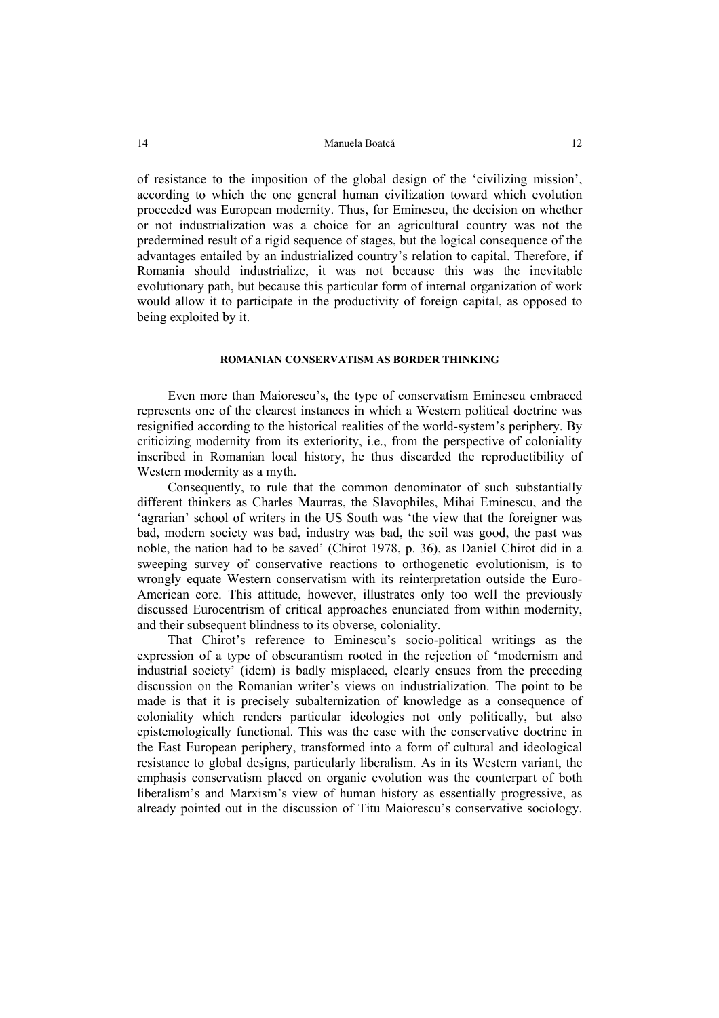of resistance to the imposition of the global design of the 'civilizing mission', according to which the one general human civilization toward which evolution proceeded was European modernity. Thus, for Eminescu, the decision on whether or not industrialization was a choice for an agricultural country was not the predermined result of a rigid sequence of stages, but the logical consequence of the advantages entailed by an industrialized country's relation to capital. Therefore, if Romania should industrialize, it was not because this was the inevitable evolutionary path, but because this particular form of internal organization of work would allow it to participate in the productivity of foreign capital, as opposed to being exploited by it.

#### **ROMANIAN CONSERVATISM AS BORDER THINKING**

Even more than Maiorescu's, the type of conservatism Eminescu embraced represents one of the clearest instances in which a Western political doctrine was resignified according to the historical realities of the world-system's periphery. By criticizing modernity from its exteriority, i.e., from the perspective of coloniality inscribed in Romanian local history, he thus discarded the reproductibility of Western modernity as a myth.

Consequently, to rule that the common denominator of such substantially different thinkers as Charles Maurras, the Slavophiles, Mihai Eminescu, and the 'agrarian' school of writers in the US South was 'the view that the foreigner was bad, modern society was bad, industry was bad, the soil was good, the past was noble, the nation had to be saved' (Chirot 1978, p. 36), as Daniel Chirot did in a sweeping survey of conservative reactions to orthogenetic evolutionism, is to wrongly equate Western conservatism with its reinterpretation outside the Euro-American core. This attitude, however, illustrates only too well the previously discussed Eurocentrism of critical approaches enunciated from within modernity, and their subsequent blindness to its obverse, coloniality.

That Chirot's reference to Eminescu's socio-political writings as the expression of a type of obscurantism rooted in the rejection of 'modernism and industrial society' (idem) is badly misplaced, clearly ensues from the preceding discussion on the Romanian writer's views on industrialization. The point to be made is that it is precisely subalternization of knowledge as a consequence of coloniality which renders particular ideologies not only politically, but also epistemologically functional. This was the case with the conservative doctrine in the East European periphery, transformed into a form of cultural and ideological resistance to global designs, particularly liberalism. As in its Western variant, the emphasis conservatism placed on organic evolution was the counterpart of both liberalism's and Marxism's view of human history as essentially progressive, as already pointed out in the discussion of Titu Maiorescu's conservative sociology.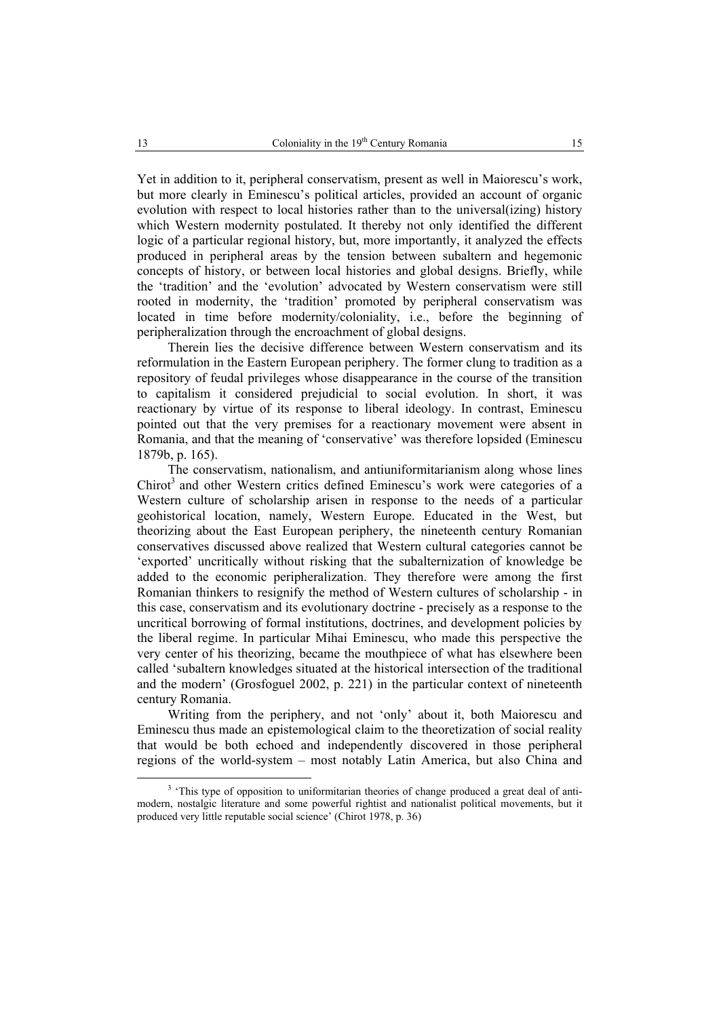Yet in addition to it, peripheral conservatism, present as well in Maiorescu's work, but more clearly in Eminescu's political articles, provided an account of organic evolution with respect to local histories rather than to the universal(izing) history which Western modernity postulated. It thereby not only identified the different logic of a particular regional history, but, more importantly, it analyzed the effects produced in peripheral areas by the tension between subaltern and hegemonic concepts of history, or between local histories and global designs. Briefly, while the 'tradition' and the 'evolution' advocated by Western conservatism were still rooted in modernity, the 'tradition' promoted by peripheral conservatism was located in time before modernity/coloniality, i.e., before the beginning of peripheralization through the encroachment of global designs.

Therein lies the decisive difference between Western conservatism and its reformulation in the Eastern European periphery. The former clung to tradition as a repository of feudal privileges whose disappearance in the course of the transition to capitalism it considered prejudicial to social evolution. In short, it was reactionary by virtue of its response to liberal ideology. In contrast, Eminescu pointed out that the very premises for a reactionary movement were absent in Romania, and that the meaning of 'conservative' was therefore lopsided (Eminescu 1879b, p. 165).

The conservatism, nationalism, and antiuniformitarianism along whose lines  $Chirot<sup>3</sup>$  and other Western critics defined Eminescu's work were categories of a Western culture of scholarship arisen in response to the needs of a particular geohistorical location, namely, Western Europe. Educated in the West, but theorizing about the East European periphery, the nineteenth century Romanian conservatives discussed above realized that Western cultural categories cannot be 'exported' uncritically without risking that the subalternization of knowledge be added to the economic peripheralization. They therefore were among the first Romanian thinkers to resignify the method of Western cultures of scholarship - in this case, conservatism and its evolutionary doctrine - precisely as a response to the uncritical borrowing of formal institutions, doctrines, and development policies by the liberal regime. In particular Mihai Eminescu, who made this perspective the very center of his theorizing, became the mouthpiece of what has elsewhere been called 'subaltern knowledges situated at the historical intersection of the traditional and the modern' (Grosfoguel 2002, p. 221) in the particular context of nineteenth century Romania.

Writing from the periphery, and not 'only' about it, both Maiorescu and Eminescu thus made an epistemological claim to the theoretization of social reality that would be both echoed and independently discovered in those peripheral regions of the world-system – most notably Latin America, but also China and

 <sup>3</sup>  $\beta$  'This type of opposition to uniformitarian theories of change produced a great deal of antimodern, nostalgic literature and some powerful rightist and nationalist political movements, but it produced very little reputable social science' (Chirot 1978, p. 36)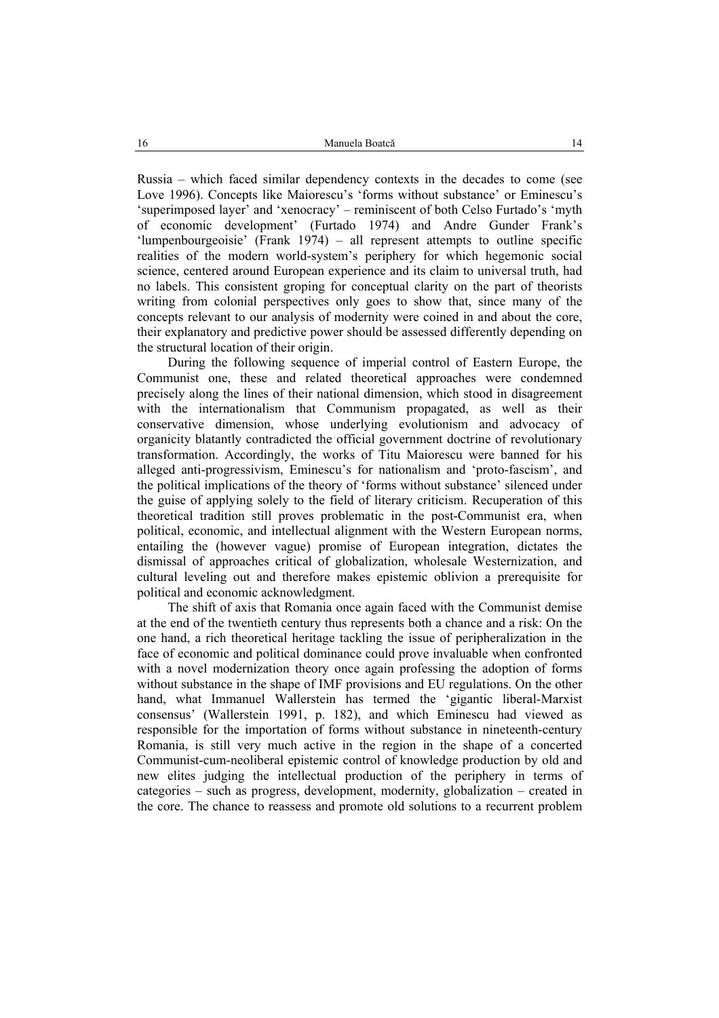Russia – which faced similar dependency contexts in the decades to come (see Love 1996). Concepts like Maiorescu's 'forms without substance' or Eminescu's 'superimposed layer' and 'xenocracy' – reminiscent of both Celso Furtado's 'myth of economic development' (Furtado 1974) and Andre Gunder Frank's 'lumpenbourgeoisie' (Frank 1974) – all represent attempts to outline specific realities of the modern world-system's periphery for which hegemonic social science, centered around European experience and its claim to universal truth, had no labels. This consistent groping for conceptual clarity on the part of theorists writing from colonial perspectives only goes to show that, since many of the concepts relevant to our analysis of modernity were coined in and about the core, their explanatory and predictive power should be assessed differently depending on the structural location of their origin.

During the following sequence of imperial control of Eastern Europe, the Communist one, these and related theoretical approaches were condemned precisely along the lines of their national dimension, which stood in disagreement with the internationalism that Communism propagated, as well as their conservative dimension, whose underlying evolutionism and advocacy of organicity blatantly contradicted the official government doctrine of revolutionary transformation. Accordingly, the works of Titu Maiorescu were banned for his alleged anti-progressivism, Eminescu's for nationalism and 'proto-fascism', and the political implications of the theory of 'forms without substance' silenced under the guise of applying solely to the field of literary criticism. Recuperation of this theoretical tradition still proves problematic in the post-Communist era, when political, economic, and intellectual alignment with the Western European norms, entailing the (however vague) promise of European integration, dictates the dismissal of approaches critical of globalization, wholesale Westernization, and cultural leveling out and therefore makes epistemic oblivion a prerequisite for political and economic acknowledgment.

The shift of axis that Romania once again faced with the Communist demise at the end of the twentieth century thus represents both a chance and a risk: On the one hand, a rich theoretical heritage tackling the issue of peripheralization in the face of economic and political dominance could prove invaluable when confronted with a novel modernization theory once again professing the adoption of forms without substance in the shape of IMF provisions and EU regulations. On the other hand, what Immanuel Wallerstein has termed the 'gigantic liberal-Marxist consensus' (Wallerstein 1991, p. 182), and which Eminescu had viewed as responsible for the importation of forms without substance in nineteenth-century Romania, is still very much active in the region in the shape of a concerted Communist-cum-neoliberal epistemic control of knowledge production by old and new elites judging the intellectual production of the periphery in terms of categories – such as progress, development, modernity, globalization – created in the core. The chance to reassess and promote old solutions to a recurrent problem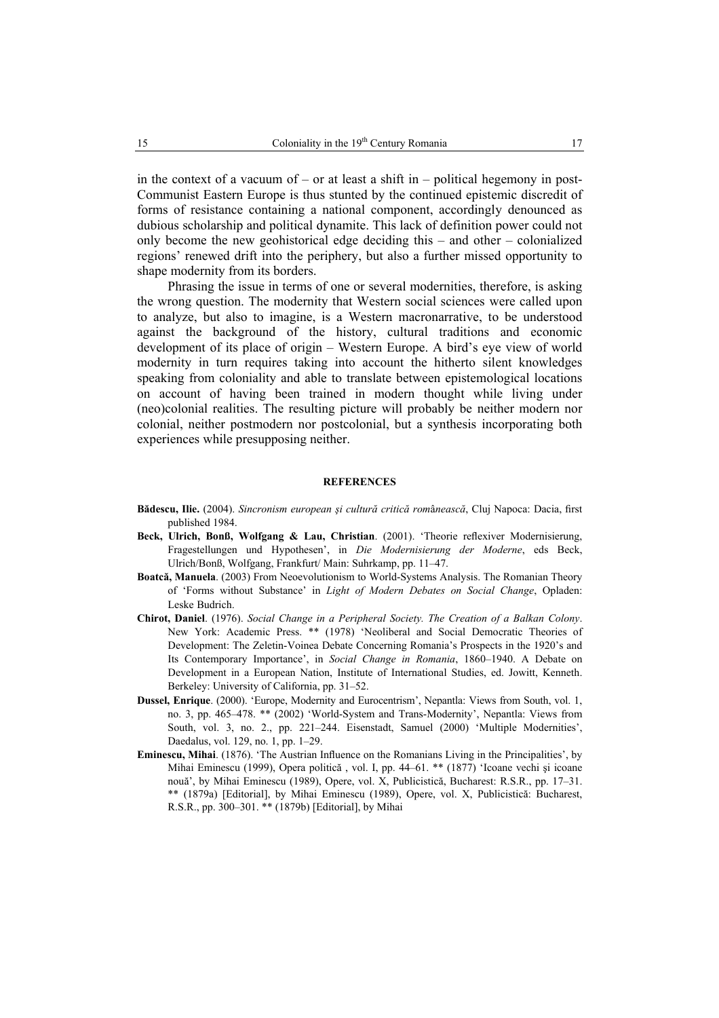in the context of a vacuum of  $-$  or at least a shift in  $-$  political hegemony in post-Communist Eastern Europe is thus stunted by the continued epistemic discredit of forms of resistance containing a national component, accordingly denounced as dubious scholarship and political dynamite. This lack of definition power could not only become the new geohistorical edge deciding this – and other – colonialized regions' renewed drift into the periphery, but also a further missed opportunity to shape modernity from its borders.

Phrasing the issue in terms of one or several modernities, therefore, is asking the wrong question. The modernity that Western social sciences were called upon to analyze, but also to imagine, is a Western macronarrative, to be understood against the background of the history, cultural traditions and economic development of its place of origin – Western Europe. A bird's eye view of world modernity in turn requires taking into account the hitherto silent knowledges speaking from coloniality and able to translate between epistemological locations on account of having been trained in modern thought while living under (neo)colonial realities. The resulting picture will probably be neither modern nor colonial, neither postmodern nor postcolonial, but a synthesis incorporating both experiences while presupposing neither.

#### **REFERENCES**

- **Bădescu, Ilie.** (2004). *Sincronism european şi cultură critică rom*â*nească*, Cluj Napoca: Dacia, first published 1984.
- **Beck, Ulrich, Bonß, Wolfgang & Lau, Christian**. (2001). 'Theorie reflexiver Modernisierung, Fragestellungen und Hypothesen', in *Die Modernisierung der Moderne*, eds Beck, Ulrich/Bonß, Wolfgang, Frankfurt/ Main: Suhrkamp, pp. 11–47.
- **Boatcă, Manuela**. (2003) From Neoevolutionism to World-Systems Analysis. The Romanian Theory of 'Forms without Substance' in *Light of Modern Debates on Social Change*, Opladen: Leske Budrich.
- **Chirot, Daniel**. (1976). *Social Change in a Peripheral Society. The Creation of a Balkan Colony*. New York: Academic Press. \*\* (1978) 'Neoliberal and Social Democratic Theories of Development: The Zeletin-Voinea Debate Concerning Romania's Prospects in the 1920's and Its Contemporary Importance', in *Social Change in Romania*, 1860–1940. A Debate on Development in a European Nation, Institute of International Studies, ed. Jowitt, Kenneth. Berkeley: University of California, pp. 31–52.
- **Dussel, Enrique**. (2000). 'Europe, Modernity and Eurocentrism', Nepantla: Views from South, vol. 1, no. 3, pp. 465–478. \*\* (2002) 'World-System and Trans-Modernity', Nepantla: Views from South, vol. 3, no. 2., pp. 221–244. Eisenstadt, Samuel (2000) 'Multiple Modernities', Daedalus, vol. 129, no. 1, pp. 1–29.
- **Eminescu, Mihai**. (1876). 'The Austrian Influence on the Romanians Living in the Principalities', by Mihai Eminescu (1999), Opera politică , vol. I, pp. 44–61. \*\* (1877) 'Icoane vechi şi icoane nouă', by Mihai Eminescu (1989), Opere, vol. X, Publicistică, Bucharest: R.S.R., pp. 17–31. \*\* (1879a) [Editorial], by Mihai Eminescu (1989), Opere, vol. X, Publicistică: Bucharest, R.S.R., pp. 300–301. \*\* (1879b) [Editorial], by Mihai